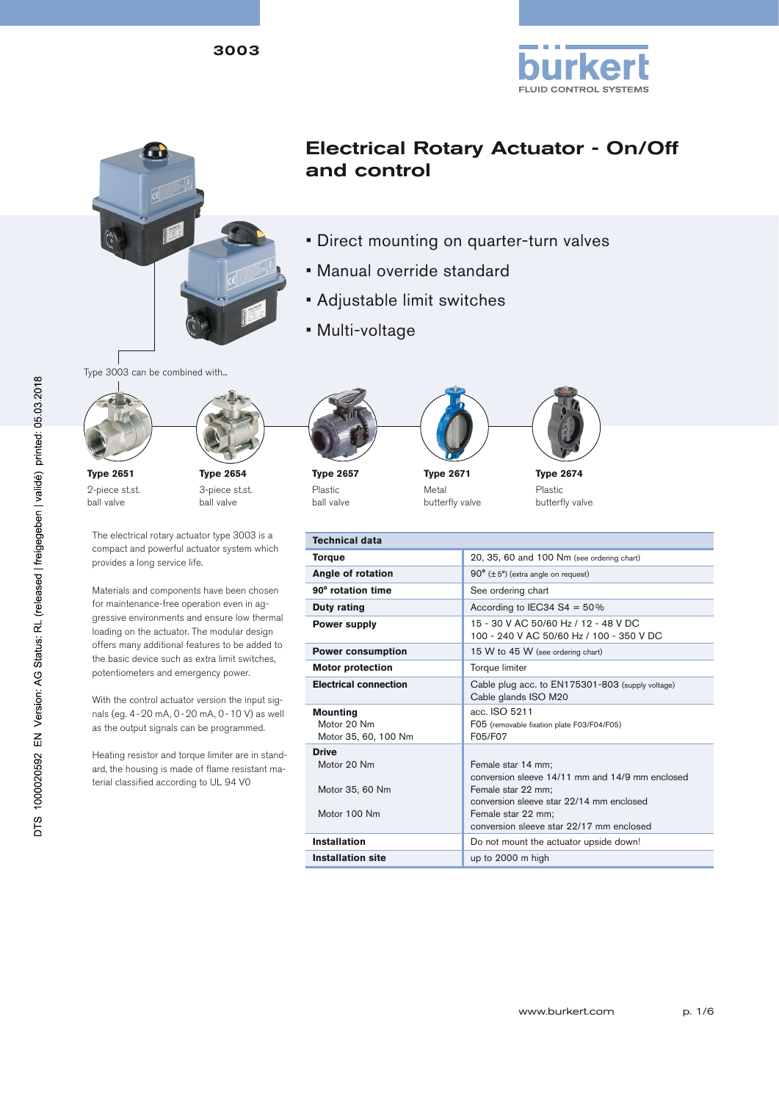3003





# Electrical Rotary Actuator - On/Off and control

- Direct mounting on quarter-turn valves
- Manual override standard
- Adjustable limit switches
- Multi-voltage





**Type 2651** 2-piece st.st. ball valve

**Type 2654** 3-piece st.st. ball valve

The electrical rotary actuator type 3003 is a compact and powerful actuator system which provides a long service life.

Materials and components have been chosen for maintenance-free operation even in aggressive environments and ensure low thermal loading on the actuator. The modular design offers many additional features to be added to the basic device such as extra limit switches, potentiometers and emergency power.

With the control actuator version the input signals (eg. 4-20 mA, 0-20 mA, 0-10 V) as well as the output signals can be programmed.

Heating resistor and torque limiter are in standard, the housing is made of flame resistant material classified according to UL 94 V0





**Type 2657** Plastic ball valve

**Type 2671** Metal

butterfly valve



**Type 2674** Plastic butterfly valve

| <b>Technical data</b>        |                                                                                  |
|------------------------------|----------------------------------------------------------------------------------|
| <b>Torque</b>                | 20, 35, 60 and 100 Nm (see ordering chart)                                       |
| Angle of rotation            | $90^{\circ}$ ( $\pm$ 5°) (extra angle on request)                                |
| 90° rotation time            | See ordering chart                                                               |
| Duty rating                  | According to IEC34 S4 = $50\%$                                                   |
| <b>Power supply</b>          | 15 - 30 V AC 50/60 Hz / 12 - 48 V DC<br>100 - 240 V AC 50/60 Hz / 100 - 350 V DC |
| <b>Power consumption</b>     | 15 W to 45 W (see ordering chart)                                                |
| <b>Motor protection</b>      | Torque limiter                                                                   |
| <b>Electrical connection</b> | Cable plug acc. to EN175301-803 (supply voltage)<br>Cable glands ISO M20         |
| <b>Mounting</b>              | acc. ISO 5211                                                                    |
| Motor 20 Nm                  | F05 (removable fixation plate F03/F04/F05)                                       |
| Motor 35, 60, 100 Nm         | F05/F07                                                                          |
| <b>Drive</b>                 |                                                                                  |
| Motor 20 Nm                  | Female star 14 mm;                                                               |
|                              | conversion sleeve 14/11 mm and 14/9 mm enclosed                                  |
| Motor 35, 60 Nm              | Female star 22 mm;                                                               |
|                              | conversion sleeve star 22/14 mm enclosed                                         |
| Motor 100 Nm                 | Female star 22 mm;                                                               |
|                              | conversion sleeve star 22/17 mm enclosed                                         |
| <b>Installation</b>          | Do not mount the actuator upside down!                                           |
| <b>Installation site</b>     | up to 2000 m high                                                                |
|                              |                                                                                  |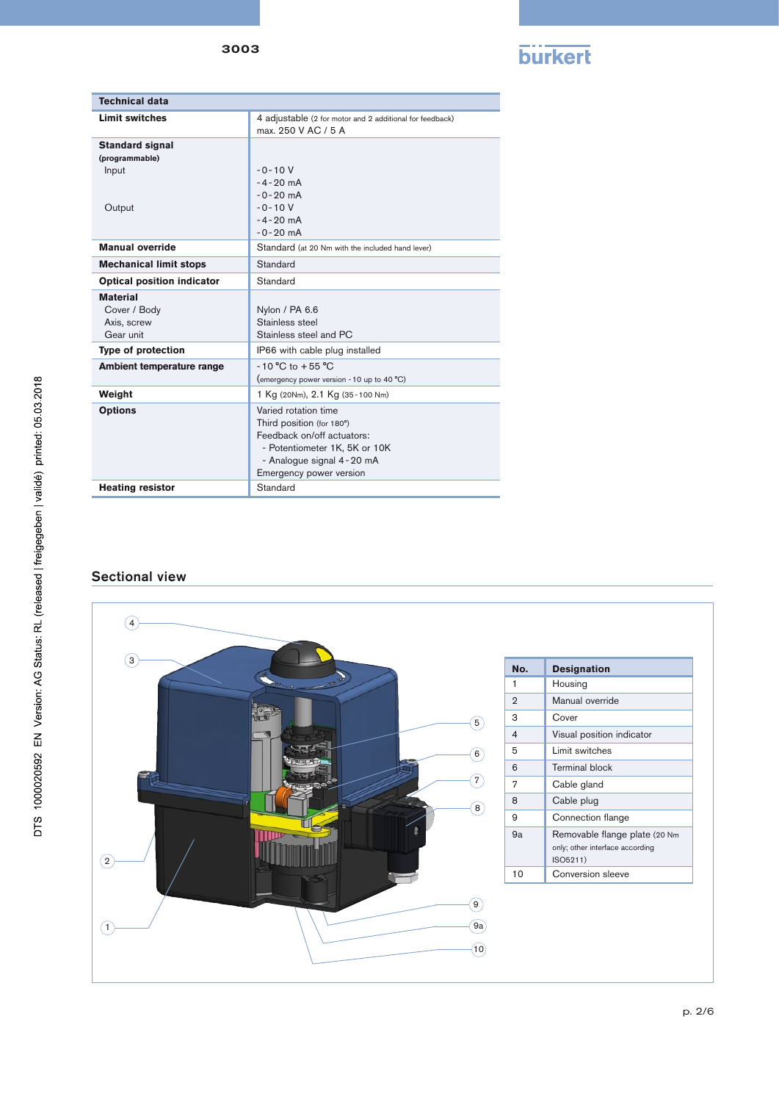

| <b>Technical data</b>                                       |                                                                                                                                                                          |
|-------------------------------------------------------------|--------------------------------------------------------------------------------------------------------------------------------------------------------------------------|
| <b>Limit switches</b>                                       | 4 adjustable (2 for motor and 2 additional for feedback)<br>max. 250 V AC / 5 A                                                                                          |
| <b>Standard signal</b><br>(programmable)<br>Input<br>Output | $-0 - 10V$<br>$-4 - 20$ mA<br>$-0-20$ mA<br>$-0 - 10V$<br>$-4 - 20$ mA                                                                                                   |
|                                                             | $-0 - 20$ mA                                                                                                                                                             |
| <b>Manual override</b>                                      | Standard (at 20 Nm with the included hand lever)                                                                                                                         |
| <b>Mechanical limit stops</b>                               | Standard                                                                                                                                                                 |
| <b>Optical position indicator</b>                           | Standard                                                                                                                                                                 |
| <b>Material</b><br>Cover / Body<br>Axis, screw<br>Gear unit | Nylon / PA 6.6<br>Stainless steel<br>Stainless steel and PC                                                                                                              |
| <b>Type of protection</b>                                   | IP66 with cable plug installed                                                                                                                                           |
| Ambient temperature range                                   | $-10 °C$ to $+55 °C$<br>(emergency power version - 10 up to 40 °C)                                                                                                       |
| Weight                                                      | 1 Kg (20Nm), 2.1 Kg (35-100 Nm)                                                                                                                                          |
| <b>Options</b>                                              | Varied rotation time<br>Third position (for 180°)<br>Feedback on/off actuators:<br>- Potentiometer 1K, 5K or 10K<br>- Analogue signal 4-20 mA<br>Emergency power version |
| <b>Heating resistor</b>                                     | Standard                                                                                                                                                                 |

## Sectional view

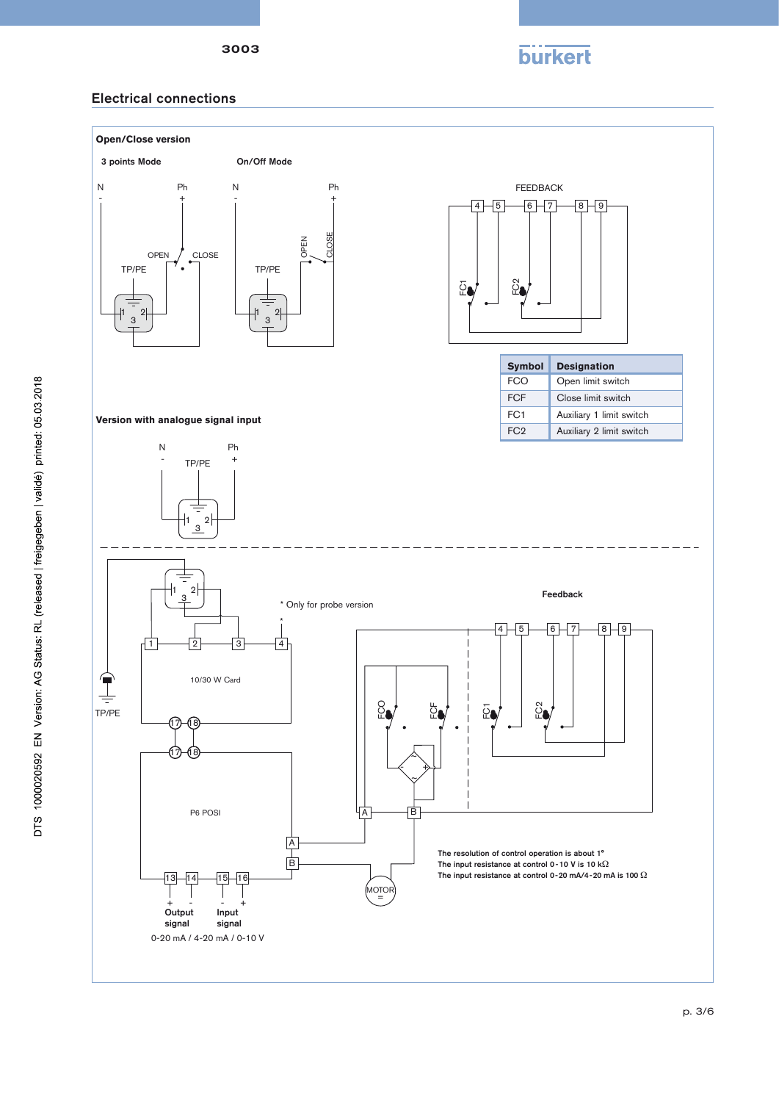



## Electrical connections

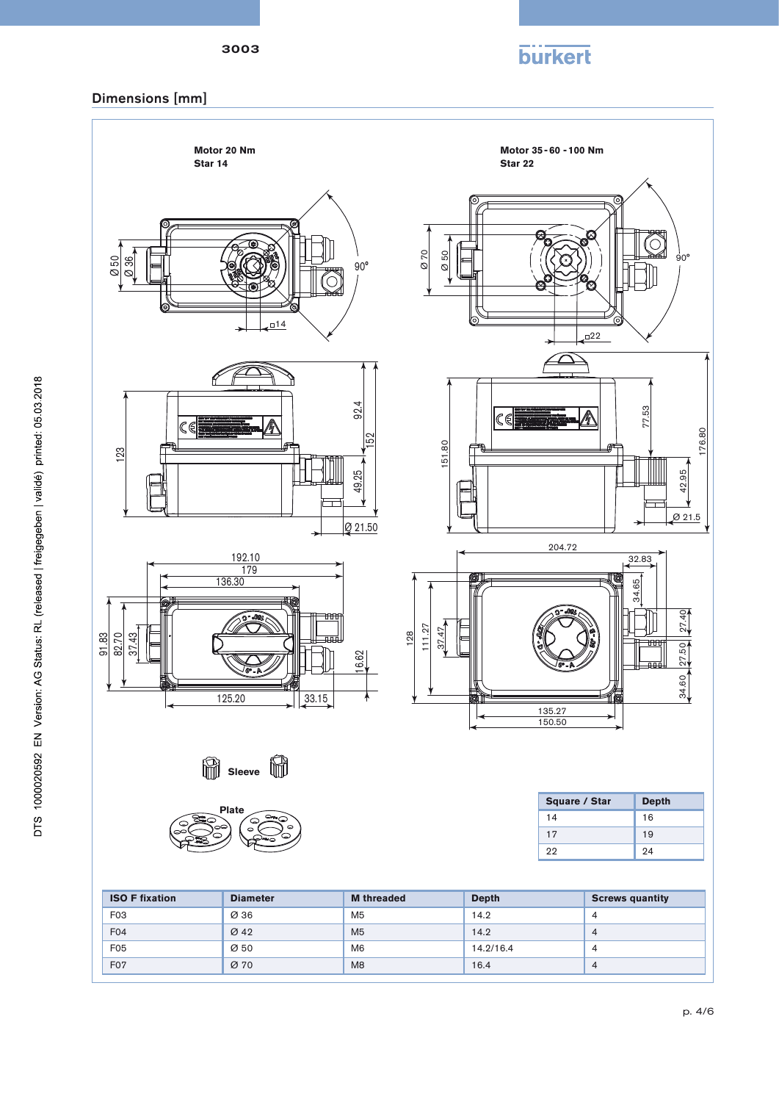

# Dimensions [mm]

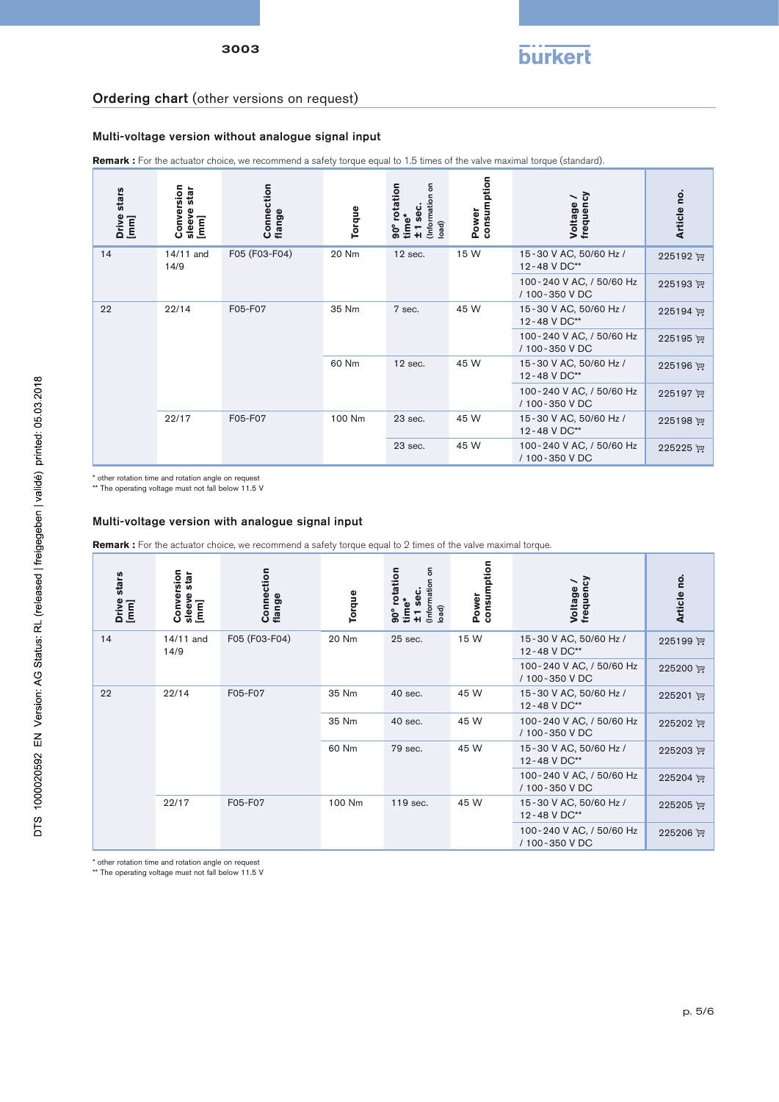## Ordering chart (other versions on request)

#### Multi-voltage version without analogue signal input

**Remark :** For the actuator choice, we recommend a safety torque equal to 1.5 times of the valve maximal torque (standard).

| stars<br>Drive<br>[mm] | Conversion<br>star<br>sleeve<br>[mm] | Connection<br>flange | Torque | 5<br>rotation<br>(Information<br><b>Sec</b><br>time*<br>(bad<br>စ္မ်<br>-<br>+1 | consumption<br>Power                       | trequency<br>Voltage                       | o,<br><b>Article</b> |
|------------------------|--------------------------------------|----------------------|--------|---------------------------------------------------------------------------------|--------------------------------------------|--------------------------------------------|----------------------|
| 14                     | 14/11 and<br>14/9                    | F05 (F03-F04)        | 20 Nm  | $12$ sec.                                                                       | 15 W                                       | 15-30 V AC, 50/60 Hz /<br>12-48 V DC**     | 225192 评             |
|                        |                                      |                      |        |                                                                                 |                                            | 100-240 V AC, / 50/60 Hz<br>/ 100-350 V DC | 225193 评             |
| 22/14<br>22            |                                      | F05-F07              | 35 Nm  | 7 sec.                                                                          | 45 W                                       | 15-30 V AC, 50/60 Hz /<br>12-48 V DC**     | 225194 评             |
|                        |                                      |                      |        |                                                                                 |                                            | 100-240 V AC, / 50/60 Hz<br>/ 100-350 V DC | 225195 评             |
|                        |                                      |                      | 60 Nm  | $12$ sec.                                                                       | 45 W                                       | 15-30 V AC, 50/60 Hz /<br>12-48 V DC**     | 225196 评             |
|                        |                                      |                      |        |                                                                                 | 100-240 V AC, / 50/60 Hz<br>/ 100-350 V DC | 225197 评                                   |                      |
| 22/17                  |                                      | F05-F07              | 100 Nm | 23 sec.                                                                         | 45 W                                       | 15-30 V AC, 50/60 Hz /<br>12-48 V DC**     | 225198 评             |
|                        |                                      |                      |        | 23 sec.                                                                         | 45 W                                       | 100-240 V AC, / 50/60 Hz<br>/ 100-350 V DC | 225225 评             |

\* other rotation time and rotation angle on request

\*\* The operating voltage must not fall below 11.5 V

#### Multi-voltage version with analogue signal input

Remark : For the actuator choice, we recommend a safety torque equal to 2 times of the valve maximal torque.

| stars<br>Drive<br>[mm] | Conversion<br>star<br>sleeve<br>$\boxed{\text{min}}$ | Connection<br>flange | Torque | ã<br>90° rotation<br>(Information<br>sec.<br>time*<br>load) | consumption<br>Power                       | Voltage /<br>frequency                     | Article no. |       |         |      |                                            |          |
|------------------------|------------------------------------------------------|----------------------|--------|-------------------------------------------------------------|--------------------------------------------|--------------------------------------------|-------------|-------|---------|------|--------------------------------------------|----------|
| 14                     | 14/11 and<br>14/9                                    | F05 (F03-F04)        | 20 Nm  | 25 sec.                                                     | 15 W                                       | 15-30 V AC, 50/60 Hz /<br>12-48 V DC**     | 225199 评    |       |         |      |                                            |          |
|                        |                                                      |                      |        |                                                             |                                            | 100-240 V AC, / 50/60 Hz<br>/ 100-350 V DC | 225200 评    |       |         |      |                                            |          |
| 22                     | 22/14                                                | F05-F07              | 35 Nm  | 40 sec.                                                     | 45 W                                       | 15-30 V AC, 50/60 Hz /<br>12-48 V DC**     | 225201 评    |       |         |      |                                            |          |
|                        |                                                      |                      |        |                                                             |                                            |                                            |             | 35 Nm | 40 sec. | 45 W | 100-240 V AC, / 50/60 Hz<br>/ 100-350 V DC | 225202 评 |
|                        |                                                      |                      | 60 Nm  | 79 sec.                                                     | 45 W                                       | 15-30 V AC, 50/60 Hz /<br>12-48 V DC**     | 225203 评    |       |         |      |                                            |          |
|                        |                                                      |                      |        |                                                             | 100-240 V AC, / 50/60 Hz<br>/ 100-350 V DC | 225204 评                                   |             |       |         |      |                                            |          |
| 22/17                  |                                                      | F05-F07              | 100 Nm | 119 sec.                                                    | 45 W                                       | 15-30 V AC, 50/60 Hz /<br>12-48 V DC**     | 225205 评    |       |         |      |                                            |          |
|                        |                                                      |                      |        | 100-240 V AC, / 50/60 Hz<br>/ 100-350 V DC                  | 225206 评                                   |                                            |             |       |         |      |                                            |          |

\* other rotation time and rotation angle on request \*\* The operating voltage must not fall below 11.5 V